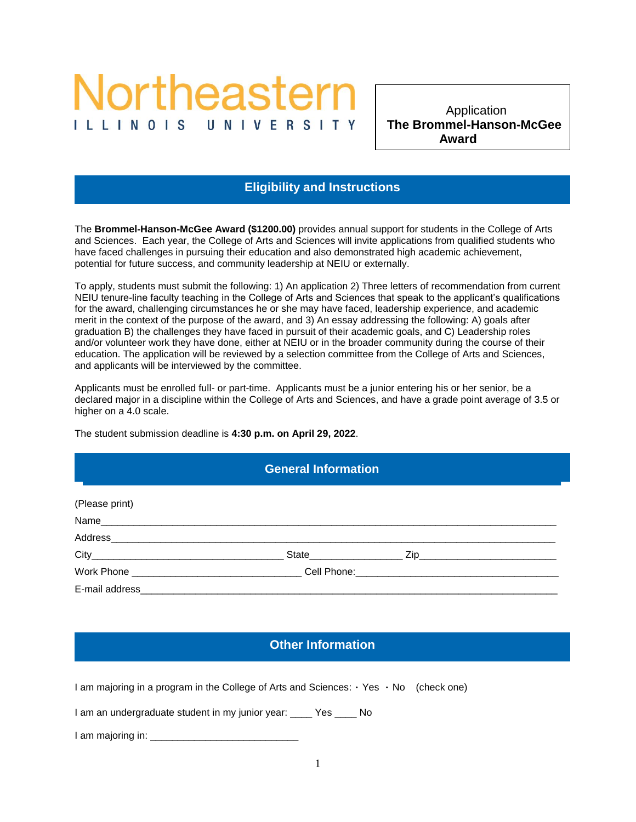# Vortheastern ILLINOIS

**The Brommel-Hanson-McGee**  Application  **Award**

## **Eligibility and Instructions**

The **Brommel-Hanson-McGee Award (\$1200.00)** provides annual support for students in the College of Arts and Sciences. Each year, the College of Arts and Sciences will invite applications from qualified students who have faced challenges in pursuing their education and also demonstrated high academic achievement, potential for future success, and community leadership at NEIU or externally.

To apply, students must submit the following: 1) An application 2) Three letters of recommendation from current NEIU tenure-line faculty teaching in the College of Arts and Sciences that speak to the applicant's qualifications for the award, challenging circumstances he or she may have faced, leadership experience, and academic merit in the context of the purpose of the award, and 3) An essay addressing the following: A) goals after graduation B) the challenges they have faced in pursuit of their academic goals, and C) Leadership roles and/or volunteer work they have done, either at NEIU or in the broader community during the course of their education. The application will be reviewed by a selection committee from the College of Arts and Sciences, and applicants will be interviewed by the committee.

Applicants must be enrolled full- or part-time. Applicants must be a junior entering his or her senior, be a declared major in a discipline within the College of Arts and Sciences, and have a grade point average of 3.5 or higher on a 4.0 scale.

The student submission deadline is **4:30 p.m. on April 29, 2022**.

#### **General Information**

General Information **Eligibility and Instructions**

| (Please print) |  |  |
|----------------|--|--|
|                |  |  |
|                |  |  |
| Address        |  |  |
|                |  |  |
|                |  |  |
| E-mail address |  |  |

## **Other Information**

I am majoring in a program in the College of Arts and Sciences:  $\cdot$  Yes  $\cdot$  No (check one)

I am an undergraduate student in my junior year: \_\_\_\_ Yes \_\_\_\_ No

I am majoring in: \_\_\_\_\_\_\_\_\_\_\_\_\_\_\_\_\_\_\_\_\_\_\_\_\_\_\_

Other Information